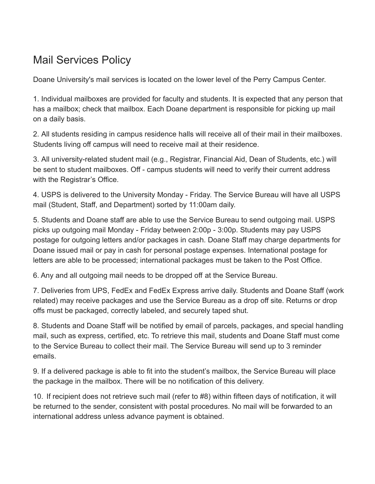## Mail Services Policy

Doane University's mail services is located on the lower level of the Perry Campus Center.

1. Individual mailboxes are provided for faculty and students. It is expected that any person that has a mailbox; check that mailbox. Each Doane department is responsible for picking up mail on a daily basis.

2. All students residing in campus residence halls will receive all of their mail in their mailboxes. Students living off campus will need to receive mail at their residence.

3. All university-related student mail (e.g., Registrar, Financial Aid, Dean of Students, etc.) will be sent to student mailboxes. Off - campus students will need to verify their current address with the Registrar's Office.

4. USPS is delivered to the University Monday - Friday. The Service Bureau will have all USPS mail (Student, Staff, and Department) sorted by 11:00am daily.

5. Students and Doane staff are able to use the Service Bureau to send outgoing mail. USPS picks up outgoing mail Monday - Friday between 2:00p - 3:00p. Students may pay USPS postage for outgoing letters and/or packages in cash. Doane Staff may charge departments for Doane issued mail or pay in cash for personal postage expenses. International postage for letters are able to be processed; international packages must be taken to the Post Office.

6. Any and all outgoing mail needs to be dropped off at the Service Bureau.

7. Deliveries from UPS, FedEx and FedEx Express arrive daily. Students and Doane Staff (work related) may receive packages and use the Service Bureau as a drop off site. Returns or drop offs must be packaged, correctly labeled, and securely taped shut.

8. Students and Doane Staff will be notified by email of parcels, packages, and special handling mail, such as express, certified, etc. To retrieve this mail, students and Doane Staff must come to the Service Bureau to collect their mail. The Service Bureau will send up to 3 reminder emails.

9. If a delivered package is able to fit into the student's mailbox, the Service Bureau will place the package in the mailbox. There will be no notification of this delivery.

10. If recipient does not retrieve such mail (refer to #8) within fifteen days of notification, it will be returned to the sender, consistent with postal procedures. No mail will be forwarded to an international address unless advance payment is obtained.